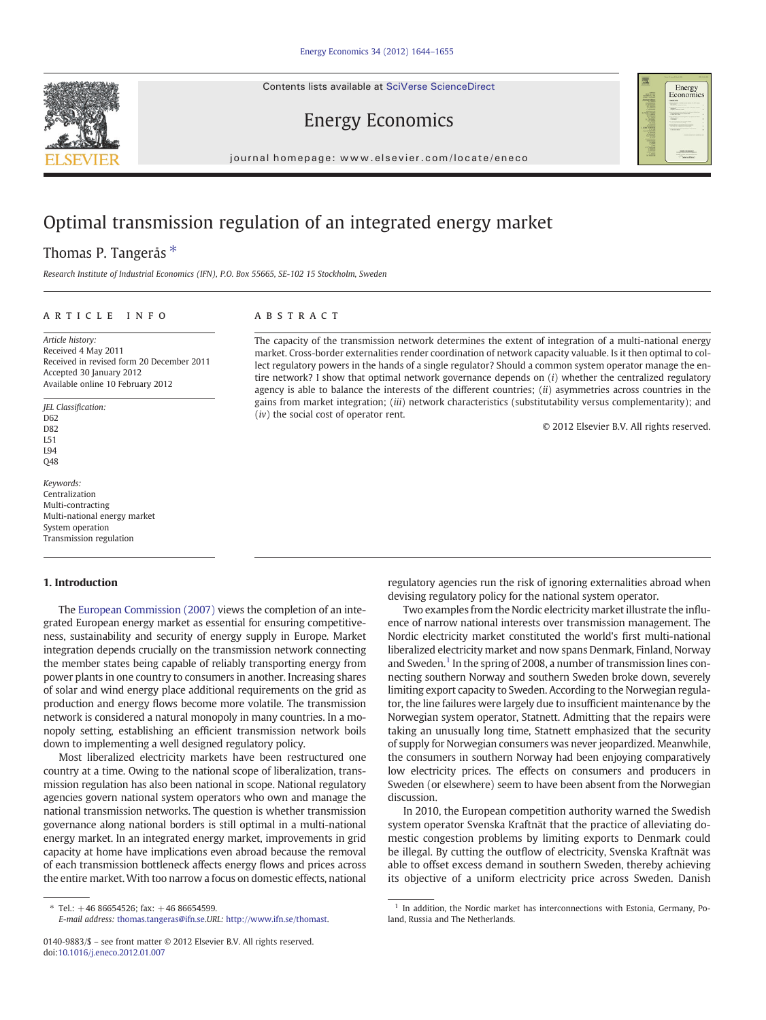Contents lists available at SciVerse ScienceDirect





## Energy Economics

journal homepage: www.elsevier.com/locate/eneco

## Optimal transmission regulation of an integrated energy market

## Thomas P. Tangerås<sup>\*</sup>

Research Institute of Industrial Economics (IFN), P.O. Box 55665, SE-102 15 Stockholm, Sweden

#### article info abstract

Article history: Received 4 May 2011 Received in revised form 20 December 2011 Accepted 30 January 2012 Available online 10 February 2012

JEL Classification: D62 D<sub>82</sub> L51 L94 Q48

Keywords: Centralization Multi-contracting Multi-national energy market System operation Transmission regulation

### 1. Introduction

The [European Commission \(2007\)](#page--1-0) views the completion of an integrated European energy market as essential for ensuring competitiveness, sustainability and security of energy supply in Europe. Market integration depends crucially on the transmission network connecting the member states being capable of reliably transporting energy from power plants in one country to consumers in another. Increasing shares of solar and wind energy place additional requirements on the grid as production and energy flows become more volatile. The transmission network is considered a natural monopoly in many countries. In a monopoly setting, establishing an efficient transmission network boils down to implementing a well designed regulatory policy.

Most liberalized electricity markets have been restructured one country at a time. Owing to the national scope of liberalization, transmission regulation has also been national in scope. National regulatory agencies govern national system operators who own and manage the national transmission networks. The question is whether transmission governance along national borders is still optimal in a multi-national energy market. In an integrated energy market, improvements in grid capacity at home have implications even abroad because the removal of each transmission bottleneck affects energy flows and prices across the entire market. With too narrow a focus on domestic effects, national

E-mail address: [thomas.tangeras@ifn.se](mailto:thomas.tangeras@ifn.se).URL: <http://www.ifn.se/thomast>.

The capacity of the transmission network determines the extent of integration of a multi-national energy market. Cross-border externalities render coordination of network capacity valuable. Is it then optimal to collect regulatory powers in the hands of a single regulator? Should a common system operator manage the entire network? I show that optimal network governance depends on (i) whether the centralized regulatory agency is able to balance the interests of the different countries;  $(ii)$  asymmetries across countries in the gains from market integration; (iii) network characteristics (substitutability versus complementarity); and  $(iv)$  the social cost of operator rent.

© 2012 Elsevier B.V. All rights reserved.

regulatory agencies run the risk of ignoring externalities abroad when devising regulatory policy for the national system operator.

Two examples from the Nordic electricity market illustrate the influence of narrow national interests over transmission management. The Nordic electricity market constituted the world's first multi-national liberalized electricity market and now spans Denmark, Finland, Norway and Sweden.<sup>1</sup> In the spring of 2008, a number of transmission lines connecting southern Norway and southern Sweden broke down, severely limiting export capacity to Sweden. According to the Norwegian regulator, the line failures were largely due to insufficient maintenance by the Norwegian system operator, Statnett. Admitting that the repairs were taking an unusually long time, Statnett emphasized that the security of supply for Norwegian consumers was never jeopardized. Meanwhile, the consumers in southern Norway had been enjoying comparatively low electricity prices. The effects on consumers and producers in Sweden (or elsewhere) seem to have been absent from the Norwegian discussion.

In 2010, the European competition authority warned the Swedish system operator Svenska Kraftnät that the practice of alleviating domestic congestion problems by limiting exports to Denmark could be illegal. By cutting the outflow of electricity, Svenska Kraftnät was able to offset excess demand in southern Sweden, thereby achieving its objective of a uniform electricity price across Sweden. Danish

 $*$  Tel.:  $+4686654526$ ; fax:  $+4686654599$ .

<sup>0140-9883/\$</sup> – see front matter © 2012 Elsevier B.V. All rights reserved. doi[:10.1016/j.eneco.2012.01.007](http://dx.doi.org/10.1016/j.eneco.2012.01.007)

 $1$  In addition, the Nordic market has interconnections with Estonia, Germany, Poland, Russia and The Netherlands.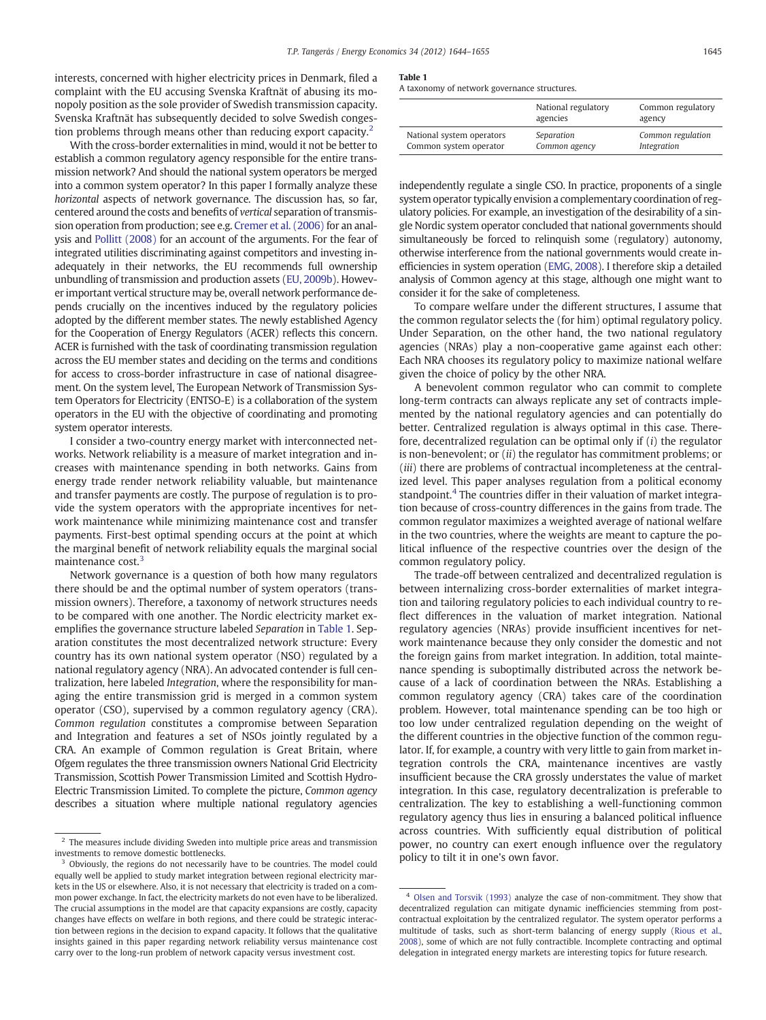interests, concerned with higher electricity prices in Denmark, filed a complaint with the EU accusing Svenska Kraftnät of abusing its monopoly position as the sole provider of Swedish transmission capacity. Svenska Kraftnät has subsequently decided to solve Swedish congestion problems through means other than reducing export capacity.<sup>2</sup>

With the cross-border externalities in mind, would it not be better to establish a common regulatory agency responsible for the entire transmission network? And should the national system operators be merged into a common system operator? In this paper I formally analyze these horizontal aspects of network governance. The discussion has, so far, centered around the costs and benefits of vertical separation of transmission operation from production; see e.g. [Cremer et al. \(2006\)](#page--1-0) for an analysis and [Pollitt \(2008\)](#page--1-0) for an account of the arguments. For the fear of integrated utilities discriminating against competitors and investing inadequately in their networks, the EU recommends full ownership unbundling of transmission and production assets ([EU, 2009b](#page--1-0)). However important vertical structure may be, overall network performance depends crucially on the incentives induced by the regulatory policies adopted by the different member states. The newly established Agency for the Cooperation of Energy Regulators (ACER) reflects this concern. ACER is furnished with the task of coordinating transmission regulation across the EU member states and deciding on the terms and conditions for access to cross-border infrastructure in case of national disagreement. On the system level, The European Network of Transmission System Operators for Electricity (ENTSO-E) is a collaboration of the system operators in the EU with the objective of coordinating and promoting system operator interests.

I consider a two-country energy market with interconnected networks. Network reliability is a measure of market integration and increases with maintenance spending in both networks. Gains from energy trade render network reliability valuable, but maintenance and transfer payments are costly. The purpose of regulation is to provide the system operators with the appropriate incentives for network maintenance while minimizing maintenance cost and transfer payments. First-best optimal spending occurs at the point at which the marginal benefit of network reliability equals the marginal social maintenance cost<sup>3</sup>

Network governance is a question of both how many regulators there should be and the optimal number of system operators (transmission owners). Therefore, a taxonomy of network structures needs to be compared with one another. The Nordic electricity market exemplifies the governance structure labeled Separation in Table 1. Separation constitutes the most decentralized network structure: Every country has its own national system operator (NSO) regulated by a national regulatory agency (NRA). An advocated contender is full centralization, here labeled Integration, where the responsibility for managing the entire transmission grid is merged in a common system operator (CSO), supervised by a common regulatory agency (CRA). Common regulation constitutes a compromise between Separation and Integration and features a set of NSOs jointly regulated by a CRA. An example of Common regulation is Great Britain, where Ofgem regulates the three transmission owners National Grid Electricity Transmission, Scottish Power Transmission Limited and Scottish Hydro-Electric Transmission Limited. To complete the picture, Common agency describes a situation where multiple national regulatory agencies

#### Table 1

A taxonomy of network governance structures.

|                           | National regulatory<br>agencies | Common regulatory<br>agency |
|---------------------------|---------------------------------|-----------------------------|
| National system operators | Separation                      | Common regulation           |
| Common system operator    | Common agency                   | Integration                 |

independently regulate a single CSO. In practice, proponents of a single system operator typically envision a complementary coordination of regulatory policies. For example, an investigation of the desirability of a single Nordic system operator concluded that national governments should simultaneously be forced to relinquish some (regulatory) autonomy, otherwise interference from the national governments would create inefficiencies in system operation [\(EMG, 2008\)](#page--1-0). I therefore skip a detailed analysis of Common agency at this stage, although one might want to consider it for the sake of completeness.

To compare welfare under the different structures, I assume that the common regulator selects the (for him) optimal regulatory policy. Under Separation, on the other hand, the two national regulatory agencies (NRAs) play a non-cooperative game against each other: Each NRA chooses its regulatory policy to maximize national welfare given the choice of policy by the other NRA.

A benevolent common regulator who can commit to complete long-term contracts can always replicate any set of contracts implemented by the national regulatory agencies and can potentially do better. Centralized regulation is always optimal in this case. Therefore, decentralized regulation can be optimal only if (i) the regulator is non-benevolent; or  $(ii)$  the regulator has commitment problems; or (iii) there are problems of contractual incompleteness at the centralized level. This paper analyses regulation from a political economy standpoint.<sup>4</sup> The countries differ in their valuation of market integration because of cross-country differences in the gains from trade. The common regulator maximizes a weighted average of national welfare in the two countries, where the weights are meant to capture the political influence of the respective countries over the design of the common regulatory policy.

The trade-off between centralized and decentralized regulation is between internalizing cross-border externalities of market integration and tailoring regulatory policies to each individual country to reflect differences in the valuation of market integration. National regulatory agencies (NRAs) provide insufficient incentives for network maintenance because they only consider the domestic and not the foreign gains from market integration. In addition, total maintenance spending is suboptimally distributed across the network because of a lack of coordination between the NRAs. Establishing a common regulatory agency (CRA) takes care of the coordination problem. However, total maintenance spending can be too high or too low under centralized regulation depending on the weight of the different countries in the objective function of the common regulator. If, for example, a country with very little to gain from market integration controls the CRA, maintenance incentives are vastly insufficient because the CRA grossly understates the value of market integration. In this case, regulatory decentralization is preferable to centralization. The key to establishing a well-functioning common regulatory agency thus lies in ensuring a balanced political influence across countries. With sufficiently equal distribution of political power, no country can exert enough influence over the regulatory policy to tilt it in one's own favor.

 $^{\rm 2}$  The measures include dividing Sweden into multiple price areas and transmission investments to remove domestic bottlenecks.

<sup>3</sup> Obviously, the regions do not necessarily have to be countries. The model could equally well be applied to study market integration between regional electricity markets in the US or elsewhere. Also, it is not necessary that electricity is traded on a common power exchange. In fact, the electricity markets do not even have to be liberalized. The crucial assumptions in the model are that capacity expansions are costly, capacity changes have effects on welfare in both regions, and there could be strategic interaction between regions in the decision to expand capacity. It follows that the qualitative insights gained in this paper regarding network reliability versus maintenance cost carry over to the long-run problem of network capacity versus investment cost.

<sup>4</sup> [Olsen and Torsvik \(1993\)](#page--1-0) analyze the case of non-commitment. They show that decentralized regulation can mitigate dynamic inefficiencies stemming from postcontractual exploitation by the centralized regulator. The system operator performs a multitude of tasks, such as short-term balancing of energy supply ([Rious et al.,](#page--1-0) [2008](#page--1-0)), some of which are not fully contractible. Incomplete contracting and optimal delegation in integrated energy markets are interesting topics for future research.